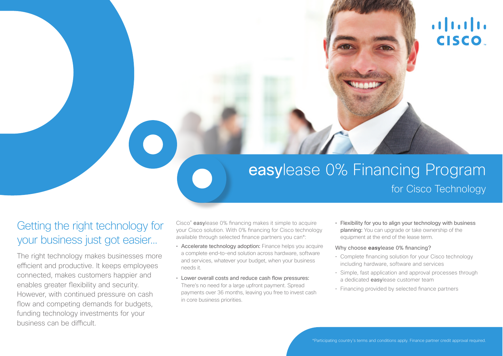# alala<br>CISCO.

# easylease 0% Financing Program

### for Cisco Technology

## Getting the right technology for your business just got easier…

The right technology makes businesses more efficient and productive. It keeps employees connected, makes customers happier and enables greater fexibility and security. However, with continued pressure on cash flow and competing demands for budgets, funding technology investments for your business can be difficult.

Cisco<sup>®</sup> easylease 0% financing makes it simple to acquire your Cisco solution. With 0% fnancing for Cisco technology available through selected fnance partners you can\*:

- Accelerate technology adoption: Finance helps you acquire a complete end–to-end solution across hardware, software and services, whatever your budget, when your business needs it.
- Lower overall costs and reduce cash flow pressures: There's no need for a large upfront payment. Spread payments over 36 months, leaving you free to invest cash in core business priorities.

• Flexibility for you to align your technology with business planning: You can upgrade or take ownership of the equipment at the end of the lease term.

#### Why choose **easy**lease 0% fnancing?

- Complete fnancing solution for your Cisco technology including hardware, software and services
- Simple, fast application and approval processes through a dedicated easylease customer team
- Financing provided by selected fnance partners